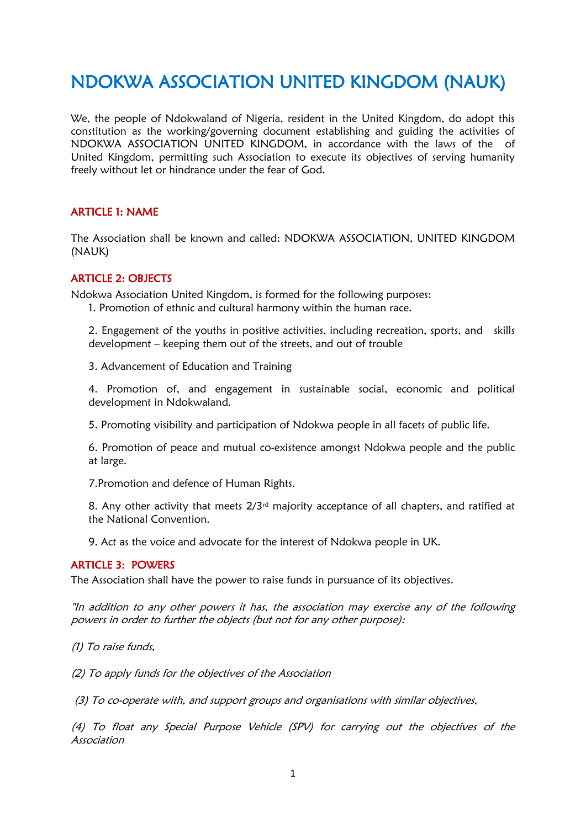# NDOKWA ASSOCIATION UNITED KINGDOM (NAUK)

We, the people of Ndokwaland of Nigeria, resident in the United Kingdom, do adopt this constitution as the working/governing document establishing and guiding the activities of NDOKWA ASSOCIATION UNITED KINGDOM, in accordance with the laws of the of United Kingdom, permitting such Association to execute its objectives of serving humanity freely without let or hindrance under the fear of God.

# ARTICLE 1: NAME

The Association shall be known and called: NDOKWA ASSOCIATION, UNITED KINGDOM (NAUK)

## ARTICLE 2: OBJECTS

Ndokwa Association United Kingdom, is formed for the following purposes:

1. Promotion of ethnic and cultural harmony within the human race.

2. Engagement of the youths in positive activities, including recreation, sports, and skills development – keeping them out of the streets, and out of trouble

3. Advancement of Education and Training

4. Promotion of, and engagement in sustainable social, economic and political development in Ndokwaland.

5. Promoting visibility and participation of Ndokwa people in all facets of public life.

6. Promotion of peace and mutual co-existence amongst Ndokwa people and the public at large.

7.Promotion and defence of Human Rights.

8. Any other activity that meets  $2/3<sup>rd</sup>$  majority acceptance of all chapters, and ratified at the National Convention.

9. Act as the voice and advocate for the interest of Ndokwa people in UK.

# ARTICLE 3: POWERS

The Association shall have the power to raise funds in pursuance of its objectives.

"In addition to any other powers it has, the association may exercise any of the following powers in order to further the objects (but not for any other purpose):

(1) To raise funds,

(2) To apply funds for the objectives of the Association

(3) To co-operate with, and support groups and organisations with similar objectives,

(4) To float any Special Purpose Vehicle (SPV) for carrying out the objectives of the Association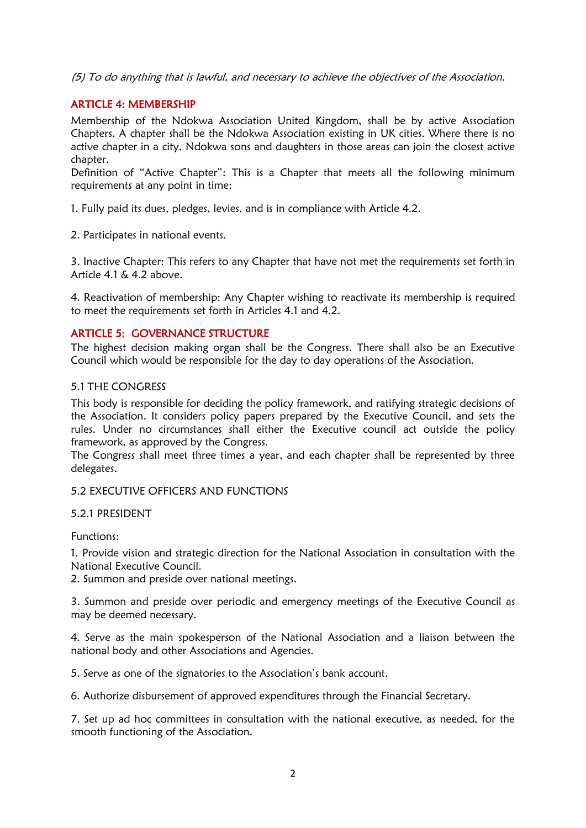(5) To do anything that is lawful, and necessary to achieve the objectives of the Association.

# ARTICLE 4: MEMBERSHIP

Membership of the Ndokwa Association United Kingdom, shall be by active Association Chapters. A chapter shall be the Ndokwa Association existing in UK cities. Where there is no active chapter in a city, Ndokwa sons and daughters in those areas can join the closest active chapter.

Definition of "Active Chapter": This is a Chapter that meets all the following minimum requirements at any point in time:

1. Fully paid its dues, pledges, levies, and is in compliance with Article 4.2.

2. Participates in national events.

3. Inactive Chapter: This refers to any Chapter that have not met the requirements set forth in Article 4.1 & 4.2 above.

4. Reactivation of membership: Any Chapter wishing to reactivate its membership is required to meet the requirements set forth in Articles 4.1 and 4.2.

#### ARTICLE 5: GOVERNANCE STRUCTURE

The highest decision making organ shall be the Congress. There shall also be an Executive Council which would be responsible for the day to day operations of the Association.

#### 5.1 THE CONGRESS

This body is responsible for deciding the policy framework, and ratifying strategic decisions of the Association. It considers policy papers prepared by the Executive Council, and sets the rules. Under no circumstances shall either the Executive council act outside the policy framework, as approved by the Congress.

The Congress shall meet three times a year, and each chapter shall be represented by three delegates.

#### 5.2 EXECUTIVE OFFICERS AND FUNCTIONS

#### 5.2.1 PRESIDENT

Functions:

1. Provide vision and strategic direction for the National Association in consultation with the National Executive Council.

2. Summon and preside over national meetings.

3. Summon and preside over periodic and emergency meetings of the Executive Council as may be deemed necessary.

4. Serve as the main spokesperson of the National Association and a liaison between the national body and other Associations and Agencies.

5. Serve as one of the signatories to the Association's bank account.

6. Authorize disbursement of approved expenditures through the Financial Secretary.

7. Set up ad hoc committees in consultation with the national executive, as needed, for the smooth functioning of the Association.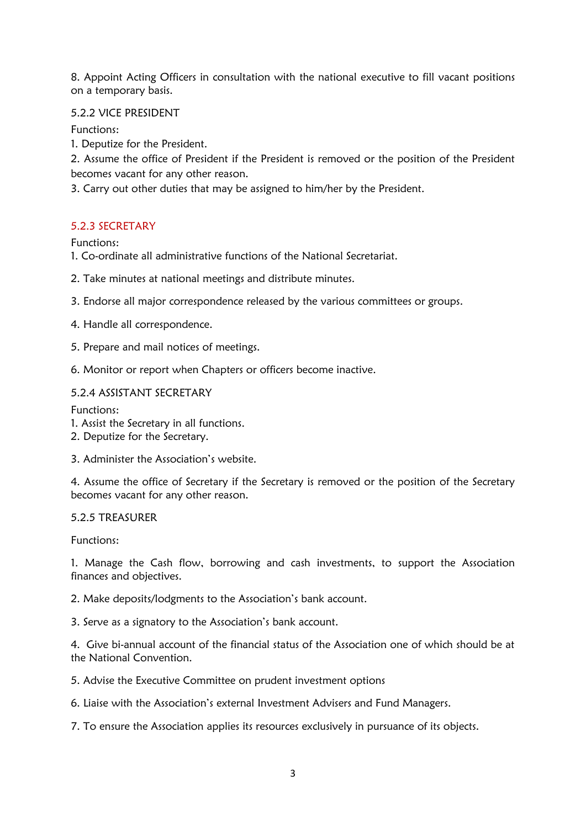8. Appoint Acting Officers in consultation with the national executive to fill vacant positions on a temporary basis.

# 5.2.2 VICE PRESIDENT

Functions:

1. Deputize for the President.

2. Assume the office of President if the President is removed or the position of the President becomes vacant for any other reason.

3. Carry out other duties that may be assigned to him/her by the President.

# 5.2.3 SECRETARY

Functions:

- 1. Co-ordinate all administrative functions of the National Secretariat.
- 2. Take minutes at national meetings and distribute minutes.
- 3. Endorse all major correspondence released by the various committees or groups.
- 4. Handle all correspondence.
- 5. Prepare and mail notices of meetings.
- 6. Monitor or report when Chapters or officers become inactive.

# 5.2.4 ASSISTANT SECRETARY

Functions:

- 1. Assist the Secretary in all functions.
- 2. Deputize for the Secretary.
- 3. Administer the Association's website.

4. Assume the office of Secretary if the Secretary is removed or the position of the Secretary becomes vacant for any other reason.

#### 5.2.5 TREASURER

Functions:

1. Manage the Cash flow, borrowing and cash investments, to support the Association finances and objectives.

2. Make deposits/lodgments to the Association's bank account.

3. Serve as a signatory to the Association's bank account.

4. Give bi-annual account of the financial status of the Association one of which should be at the National Convention.

5. Advise the Executive Committee on prudent investment options

6. Liaise with the Association's external Investment Advisers and Fund Managers.

7. To ensure the Association applies its resources exclusively in pursuance of its objects.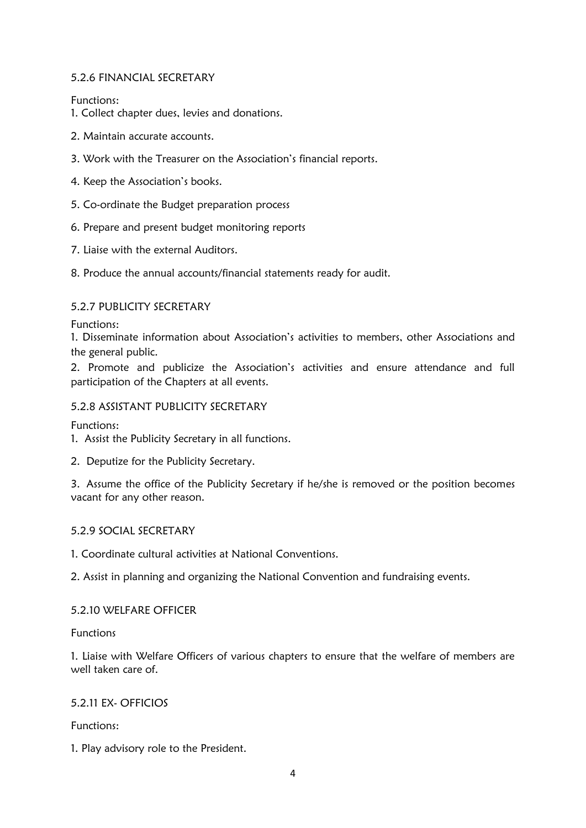# 5.2.6 FINANCIAL SECRETARY

Functions:

- 1. Collect chapter dues, levies and donations.
- 2. Maintain accurate accounts.
- 3. Work with the Treasurer on the Association's financial reports.
- 4. Keep the Association's books.
- 5. Co-ordinate the Budget preparation process
- 6. Prepare and present budget monitoring reports
- 7. Liaise with the external Auditors.
- 8. Produce the annual accounts/financial statements ready for audit.

# 5.2.7 PUBLICITY SECRETARY

Functions:

1. Disseminate information about Association's activities to members, other Associations and the general public.

2. Promote and publicize the Association's activities and ensure attendance and full participation of the Chapters at all events.

# 5.2.8 ASSISTANT PUBLICITY SECRETARY

Functions:

1. Assist the Publicity Secretary in all functions.

2. Deputize for the Publicity Secretary.

3. Assume the office of the Publicity Secretary if he/she is removed or the position becomes vacant for any other reason.

#### 5.2.9 SOCIAL SECRETARY

1. Coordinate cultural activities at National Conventions.

2. Assist in planning and organizing the National Convention and fundraising events.

#### 5.2.10 WELFARE OFFICER

#### Functions

1. Liaise with Welfare Officers of various chapters to ensure that the welfare of members are well taken care of.

#### 5.2.11 EX- OFFICIOS

Functions:

1. Play advisory role to the President.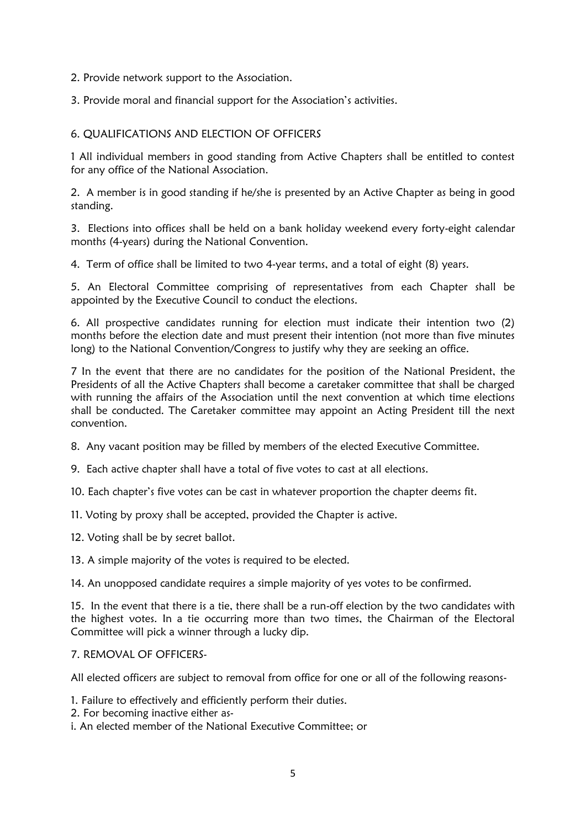2. Provide network support to the Association.

3. Provide moral and financial support for the Association's activities.

#### 6. QUALIFICATIONS AND ELECTION OF OFFICERS

1 All individual members in good standing from Active Chapters shall be entitled to contest for any office of the National Association.

2. A member is in good standing if he/she is presented by an Active Chapter as being in good standing.

3. Elections into offices shall be held on a bank holiday weekend every forty-eight calendar months (4-years) during the National Convention.

4. Term of office shall be limited to two 4-year terms, and a total of eight (8) years.

5. An Electoral Committee comprising of representatives from each Chapter shall be appointed by the Executive Council to conduct the elections.

6. All prospective candidates running for election must indicate their intention two (2) months before the election date and must present their intention (not more than five minutes long) to the National Convention/Congress to justify why they are seeking an office.

7 In the event that there are no candidates for the position of the National President, the Presidents of all the Active Chapters shall become a caretaker committee that shall be charged with running the affairs of the Association until the next convention at which time elections shall be conducted. The Caretaker committee may appoint an Acting President till the next convention.

8. Any vacant position may be filled by members of the elected Executive Committee.

9. Each active chapter shall have a total of five votes to cast at all elections.

10. Each chapter's five votes can be cast in whatever proportion the chapter deems fit.

11. Voting by proxy shall be accepted, provided the Chapter is active.

12. Voting shall be by secret ballot.

13. A simple majority of the votes is required to be elected.

14. An unopposed candidate requires a simple majority of yes votes to be confirmed.

15. In the event that there is a tie, there shall be a run-off election by the two candidates with the highest votes. In a tie occurring more than two times, the Chairman of the Electoral Committee will pick a winner through a lucky dip.

#### 7. REMOVAL OF OFFICERS-

All elected officers are subject to removal from office for one or all of the following reasons-

1. Failure to effectively and efficiently perform their duties.

- 2. For becoming inactive either as-
- i. An elected member of the National Executive Committee; or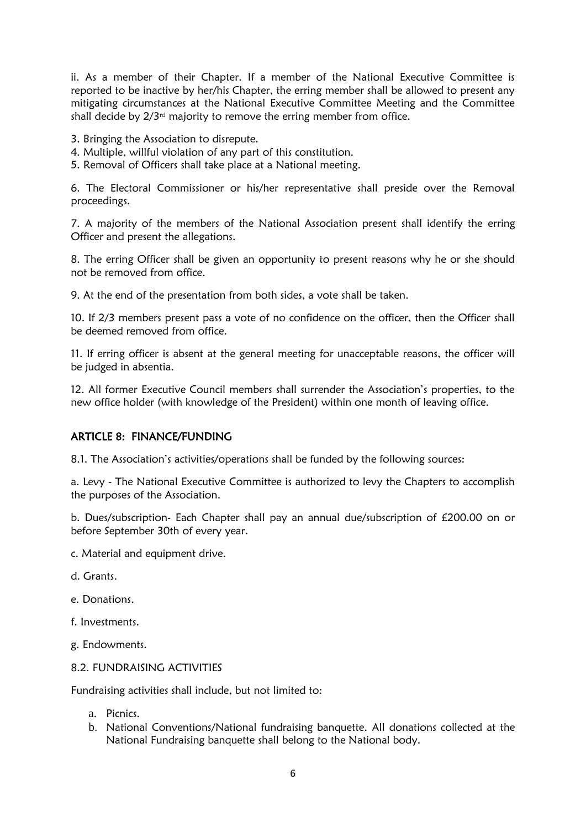ii. As a member of their Chapter. If a member of the National Executive Committee is reported to be inactive by her/his Chapter, the erring member shall be allowed to present any mitigating circumstances at the National Executive Committee Meeting and the Committee shall decide by  $2/3<sup>rd</sup>$  majority to remove the erring member from office.

- 3. Bringing the Association to disrepute.
- 4. Multiple, willful violation of any part of this constitution.
- 5. Removal of Officers shall take place at a National meeting.

6. The Electoral Commissioner or his/her representative shall preside over the Removal proceedings.

7. A majority of the members of the National Association present shall identify the erring Officer and present the allegations.

8. The erring Officer shall be given an opportunity to present reasons why he or she should not be removed from office.

9. At the end of the presentation from both sides, a vote shall be taken.

10. If 2/3 members present pass a vote of no confidence on the officer, then the Officer shall be deemed removed from office.

11. If erring officer is absent at the general meeting for unacceptable reasons, the officer will be judged in absentia.

12. All former Executive Council members shall surrender the Association's properties, to the new office holder (with knowledge of the President) within one month of leaving office.

#### ARTICLE 8: FINANCE/FUNDING

8.1. The Association's activities/operations shall be funded by the following sources:

a. Levy - The National Executive Committee is authorized to levy the Chapters to accomplish the purposes of the Association.

b. Dues/subscription- Each Chapter shall pay an annual due/subscription of £200.00 on or before September 30th of every year.

- c. Material and equipment drive.
- d. Grants.
- e. Donations.
- f. Investments.
- g. Endowments.

## 8.2. FUNDRAISING ACTIVITIES

Fundraising activities shall include, but not limited to:

- a. Picnics.
- b. National Conventions/National fundraising banquette. All donations collected at the National Fundraising banquette shall belong to the National body.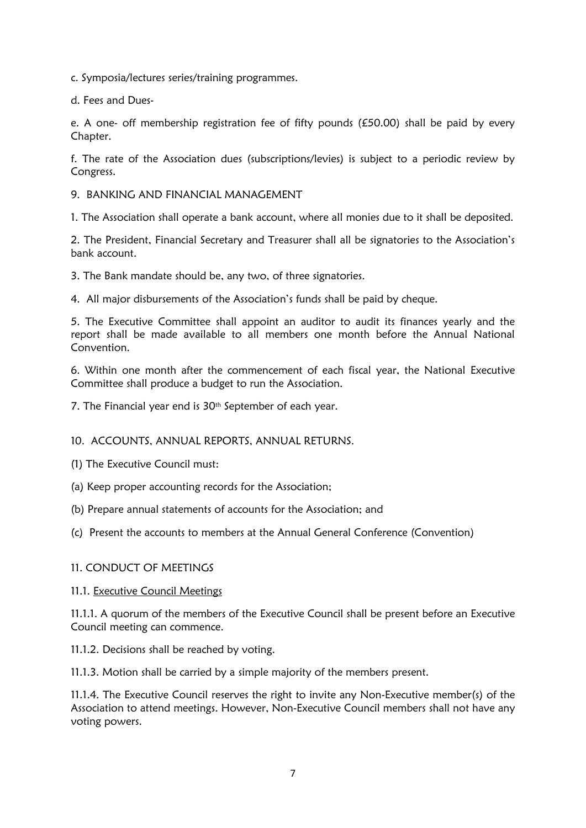c. Symposia/lectures series/training programmes.

d. Fees and Dues-

e. A one- off membership registration fee of fifty pounds (£50.00) shall be paid by every Chapter.

f. The rate of the Association dues (subscriptions/levies) is subject to a periodic review by Congress.

#### 9. BANKING AND FINANCIAL MANAGEMENT

1. The Association shall operate a bank account, where all monies due to it shall be deposited.

2. The President, Financial Secretary and Treasurer shall all be signatories to the Association's bank account.

3. The Bank mandate should be, any two, of three signatories.

4. All major disbursements of the Association's funds shall be paid by cheque.

5. The Executive Committee shall appoint an auditor to audit its finances yearly and the report shall be made available to all members one month before the Annual National Convention.

6. Within one month after the commencement of each fiscal year, the National Executive Committee shall produce a budget to run the Association.

7. The Financial year end is 30<sup>th</sup> September of each year.

#### 10. ACCOUNTS, ANNUAL REPORTS, ANNUAL RETURNS.

(1) The Executive Council must:

- (a) Keep proper accounting records for the Association;
- (b) Prepare annual statements of accounts for the Association; and
- (c) Present the accounts to members at the Annual General Conference (Convention)

#### 11. CONDUCT OF MEETINGS

#### 11.1. Executive Council Meetings

11.1.1. A quorum of the members of the Executive Council shall be present before an Executive Council meeting can commence.

11.1.2. Decisions shall be reached by voting.

11.1.3. Motion shall be carried by a simple majority of the members present.

11.1.4. The Executive Council reserves the right to invite any Non-Executive member(s) of the Association to attend meetings. However, Non-Executive Council members shall not have any voting powers.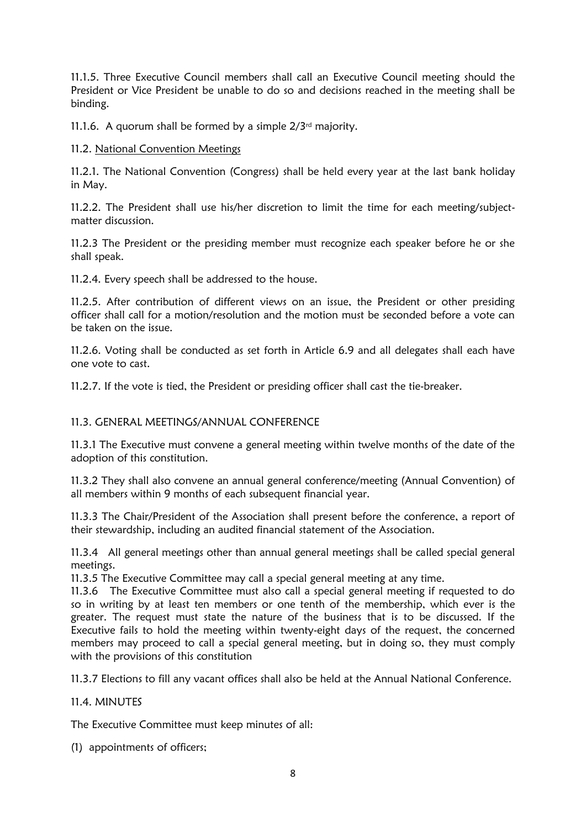11.1.5. Three Executive Council members shall call an Executive Council meeting should the President or Vice President be unable to do so and decisions reached in the meeting shall be binding.

11.1.6. A quorum shall be formed by a simple  $2/3<sup>rd</sup>$  majority.

# 11.2. National Convention Meetings

11.2.1. The National Convention (Congress) shall be held every year at the last bank holiday in May.

11.2.2. The President shall use his/her discretion to limit the time for each meeting/subjectmatter discussion.

11.2.3 The President or the presiding member must recognize each speaker before he or she shall speak.

11.2.4. Every speech shall be addressed to the house.

11.2.5. After contribution of different views on an issue, the President or other presiding officer shall call for a motion/resolution and the motion must be seconded before a vote can be taken on the issue.

11.2.6. Voting shall be conducted as set forth in Article 6.9 and all delegates shall each have one vote to cast.

11.2.7. If the vote is tied, the President or presiding officer shall cast the tie-breaker.

# 11.3. GENERAL MEETINGS/ANNUAL CONFERENCE

11.3.1 The Executive must convene a general meeting within twelve months of the date of the adoption of this constitution.

11.3.2 They shall also convene an annual general conference/meeting (Annual Convention) of all members within 9 months of each subsequent financial year.

11.3.3 The Chair/President of the Association shall present before the conference, a report of their stewardship, including an audited financial statement of the Association.

11.3.4 All general meetings other than annual general meetings shall be called special general meetings.

11.3.5 The Executive Committee may call a special general meeting at any time.

11.3.6 The Executive Committee must also call a special general meeting if requested to do so in writing by at least ten members or one tenth of the membership, which ever is the greater. The request must state the nature of the business that is to be discussed. If the Executive fails to hold the meeting within twenty-eight days of the request, the concerned members may proceed to call a special general meeting, but in doing so, they must comply with the provisions of this constitution

11.3.7 Elections to fill any vacant offices shall also be held at the Annual National Conference.

#### 11.4. MINUTES

The Executive Committee must keep minutes of all:

(1) appointments of officers;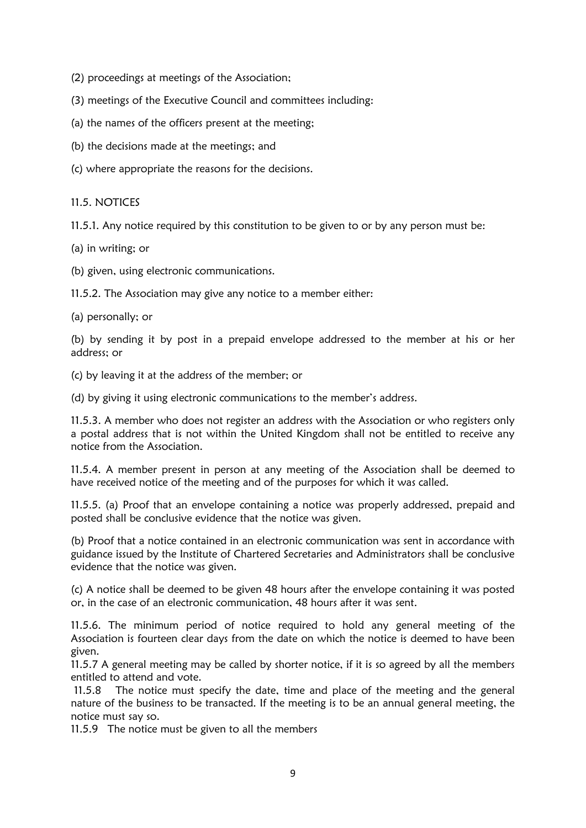- (2) proceedings at meetings of the Association;
- (3) meetings of the Executive Council and committees including:
- (a) the names of the officers present at the meeting;
- (b) the decisions made at the meetings; and
- (c) where appropriate the reasons for the decisions.

## 11.5. NOTICES

11.5.1. Any notice required by this constitution to be given to or by any person must be:

(a) in writing; or

(b) given, using electronic communications.

11.5.2. The Association may give any notice to a member either:

(a) personally; or

(b) by sending it by post in a prepaid envelope addressed to the member at his or her address; or

(c) by leaving it at the address of the member; or

(d) by giving it using electronic communications to the member's address.

11.5.3. A member who does not register an address with the Association or who registers only a postal address that is not within the United Kingdom shall not be entitled to receive any notice from the Association.

11.5.4. A member present in person at any meeting of the Association shall be deemed to have received notice of the meeting and of the purposes for which it was called.

11.5.5. (a) Proof that an envelope containing a notice was properly addressed, prepaid and posted shall be conclusive evidence that the notice was given.

(b) Proof that a notice contained in an electronic communication was sent in accordance with guidance issued by the Institute of Chartered Secretaries and Administrators shall be conclusive evidence that the notice was given.

(c) A notice shall be deemed to be given 48 hours after the envelope containing it was posted or, in the case of an electronic communication, 48 hours after it was sent.

11.5.6. The minimum period of notice required to hold any general meeting of the Association is fourteen clear days from the date on which the notice is deemed to have been given.

11.5.7 A general meeting may be called by shorter notice, if it is so agreed by all the members entitled to attend and vote.

11.5.8 The notice must specify the date, time and place of the meeting and the general nature of the business to be transacted. If the meeting is to be an annual general meeting, the notice must say so.

11.5.9 The notice must be given to all the members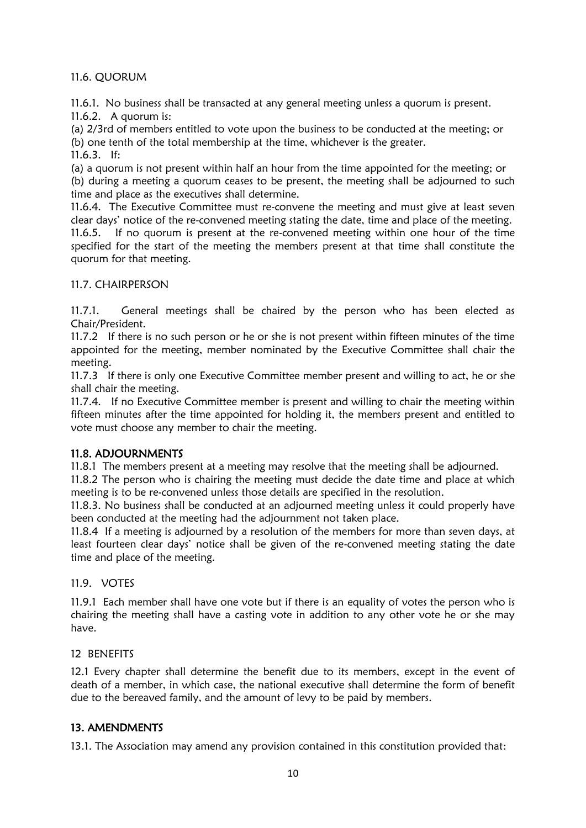# 11.6. QUORUM

11.6.1. No business shall be transacted at any general meeting unless a quorum is present. 11.6.2. A quorum is:

(a) 2/3rd of members entitled to vote upon the business to be conducted at the meeting; or (b) one tenth of the total membership at the time, whichever is the greater. 11.6.3. If:

(a) a quorum is not present within half an hour from the time appointed for the meeting; or (b) during a meeting a quorum ceases to be present, the meeting shall be adjourned to such time and place as the executives shall determine.

11.6.4. The Executive Committee must re-convene the meeting and must give at least seven clear days' notice of the re-convened meeting stating the date, time and place of the meeting. 11.6.5. If no quorum is present at the re-convened meeting within one hour of the time specified for the start of the meeting the members present at that time shall constitute the quorum for that meeting.

# 11.7. CHAIRPERSON

11.7.1. General meetings shall be chaired by the person who has been elected as Chair/President.

11.7.2 If there is no such person or he or she is not present within fifteen minutes of the time appointed for the meeting, member nominated by the Executive Committee shall chair the meeting.

11.7.3 If there is only one Executive Committee member present and willing to act, he or she shall chair the meeting.

11.7.4. If no Executive Committee member is present and willing to chair the meeting within fifteen minutes after the time appointed for holding it, the members present and entitled to vote must choose any member to chair the meeting.

# 11.8. ADJOURNMENTS

11.8.1 The members present at a meeting may resolve that the meeting shall be adjourned.

11.8.2 The person who is chairing the meeting must decide the date time and place at which meeting is to be re-convened unless those details are specified in the resolution.

11.8.3. No business shall be conducted at an adjourned meeting unless it could properly have been conducted at the meeting had the adjournment not taken place.

11.8.4 If a meeting is adjourned by a resolution of the members for more than seven days, at least fourteen clear days' notice shall be given of the re-convened meeting stating the date time and place of the meeting.

#### 11.9. VOTES

11.9.1 Each member shall have one vote but if there is an equality of votes the person who is chairing the meeting shall have a casting vote in addition to any other vote he or she may have.

#### 12 BENEFITS

12.1 Every chapter shall determine the benefit due to its members, except in the event of death of a member, in which case, the national executive shall determine the form of benefit due to the bereaved family, and the amount of levy to be paid by members.

# 13. AMENDMENTS

13.1. The Association may amend any provision contained in this constitution provided that: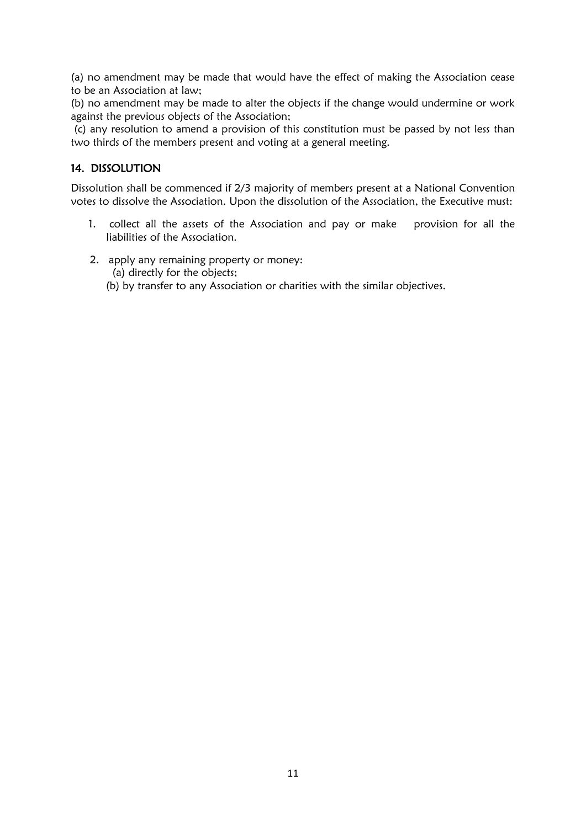(a) no amendment may be made that would have the effect of making the Association cease to be an Association at law;

(b) no amendment may be made to alter the objects if the change would undermine or work against the previous objects of the Association;

(c) any resolution to amend a provision of this constitution must be passed by not less than two thirds of the members present and voting at a general meeting.

# 14. DISSOLUTION

Dissolution shall be commenced if 2/3 majority of members present at a National Convention votes to dissolve the Association. Upon the dissolution of the Association, the Executive must:

- 1. collect all the assets of the Association and pay or make provision for all the liabilities of the Association.
- 2. apply any remaining property or money:
	- (a) directly for the objects;
	- (b) by transfer to any Association or charities with the similar objectives.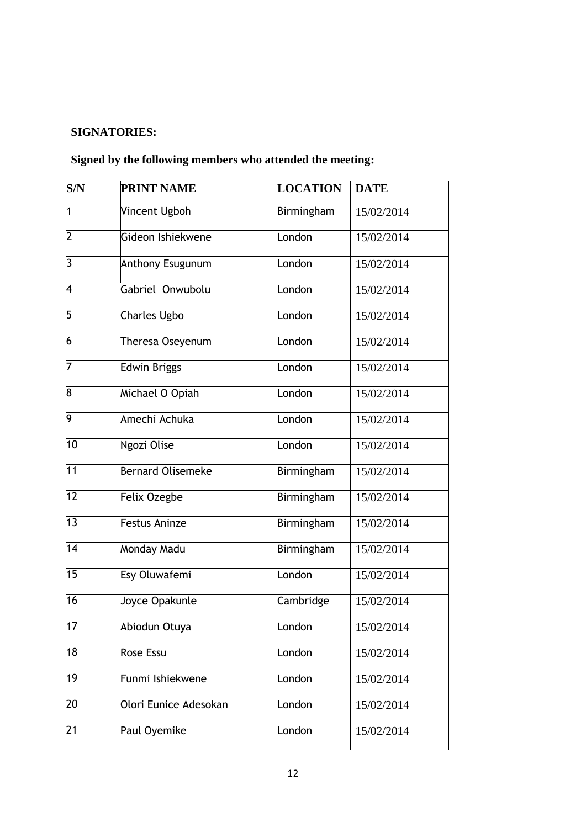# **SIGNATORIES:**

# **Signed by the following members who attended the meeting:**

| S/N             | <b>PRINT NAME</b>        | <b>LOCATION</b>   | <b>DATE</b> |
|-----------------|--------------------------|-------------------|-------------|
| $\overline{1}$  | <b>Vincent Ugboh</b>     | <b>Birmingham</b> | 15/02/2014  |
| $\overline{2}$  | Gideon Ishiekwene        | London            | 15/02/2014  |
| 3               | Anthony Esugunum         | London            | 15/02/2014  |
| 4               | Gabriel Onwubolu         | London            | 15/02/2014  |
| 5               | <b>Charles Ugbo</b>      | London            | 15/02/2014  |
| $\overline{6}$  | Theresa Oseyenum         | London            | 15/02/2014  |
| 7               | <b>Edwin Briggs</b>      | London            | 15/02/2014  |
| 8               | Michael O Opiah          | London            | 15/02/2014  |
| 9               | Amechi Achuka            | London            | 15/02/2014  |
| 10              | Ngozi Olise              | London            | 15/02/2014  |
| 11              | <b>Bernard Olisemeke</b> | Birmingham        | 15/02/2014  |
| 12              | Felix Ozegbe             | Birmingham        | 15/02/2014  |
| 13              | Festus Aninze            | Birmingham        | 15/02/2014  |
| 14              | Monday Madu              | Birmingham        | 15/02/2014  |
| 15              | Esy Oluwafemi            | London            | 15/02/2014  |
| 16              | Joyce Opakunle           | Cambridge         | 15/02/2014  |
| 17              | Abiodun Otuya            | London            | 15/02/2014  |
| 18              | <b>Rose Essu</b>         | London            | 15/02/2014  |
| 19              | Funmi Ishiekwene         | London            | 15/02/2014  |
| $\overline{20}$ | Olori Eunice Adesokan    | London            | 15/02/2014  |
| $\overline{21}$ | Paul Oyemike             | London            | 15/02/2014  |